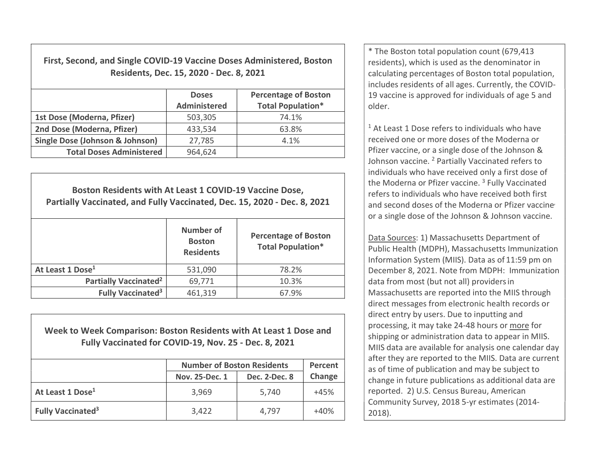First, Second, and Single COVID-19 Vaccine Doses Administered, Boston Residents, Dec. 15, 2020 - Dec. 8, 2021

|                                            | <b>Doses</b><br><b>Administered</b> | <b>Percentage of Boston</b><br><b>Total Population*</b> |
|--------------------------------------------|-------------------------------------|---------------------------------------------------------|
| 1st Dose (Moderna, Pfizer)                 | 503,305                             | 74.1%                                                   |
| 2nd Dose (Moderna, Pfizer)                 | 433,534                             | 63.8%                                                   |
| <b>Single Dose (Johnson &amp; Johnson)</b> | 27,785                              | 4.1%                                                    |
| <b>Total Doses Administered</b>            | 964,624                             |                                                         |

Boston Residents with At Least 1 COVID-19 Vaccine Dose, Partially Vaccinated, and Fully Vaccinated, Dec. 15, 2020 - Dec. 8, 2021 Number of **Boston Residents** Percentage of Boston Total Population\* At Least 1 Dose<sup>1</sup> **120.21 120.21 120.21 120.21 120.22** 13.2% Partially Vaccinated<sup>2</sup>  $69,771$  10.3% Fully Vaccinated<sup>3</sup>  $461,319$   $67.9\%$ 

Week to Week Comparison: Boston Residents with At Least 1 Dose and Fully Vaccinated for COVID-19, Nov. 25 - Dec. 8, 2021

|                               | <b>Number of Boston Residents</b> | Percent       |        |
|-------------------------------|-----------------------------------|---------------|--------|
|                               | Nov. 25-Dec. 1                    | Dec. 2-Dec. 8 | Change |
| At Least 1 Dose <sup>1</sup>  | 3,969                             | 5,740         | $+45%$ |
| Fully Vaccinated <sup>3</sup> | 3,422                             | 4,797         | $+40%$ |

\* The Boston total population count (679,413 residents), which is used as the denominator in calculating percentages of Boston total population, includes residents of all ages. Currently, the COVID-19 vaccine is approved for individuals of age 5 and older.

<sup>1</sup> At Least 1 Dose refers to individuals who have received one or more doses of the Moderna or Pfizer vaccine, or a single dose of the Johnson & Johnson vaccine. <sup>2</sup> Partially Vaccinated refers to individuals who have received only a first dose of the Moderna or Pfizer vaccine.<sup>3</sup> Fully Vaccinated refers to individuals who have received both first and second doses of the Moderna or Pfizer vaccine or a single dose of the Johnson & Johnson vaccine.

Data Sources: 1) Massachusetts Department of Public Health (MDPH), Massachusetts Immunization Information System (MIIS). Data as of 11:59 pm on December 8, 2021. Note from MDPH: Immunization data from most (but not all) providersin Massachusetts are reported into the MIIS through direct messages from electronic health records or direct entry by users. Due to inputting and processing, it may take 24-48 hours or more for shipping or administration data to appear in MIIS. MIIS data are available for analysis one calendar day after they are reported to the MIIS. Data are current as of time of publication and may be subject to change in future publications as additional data are reported. 2) U.S. Census Bureau, American Community Survey, 2018 5-yr estimates (2014- 2018).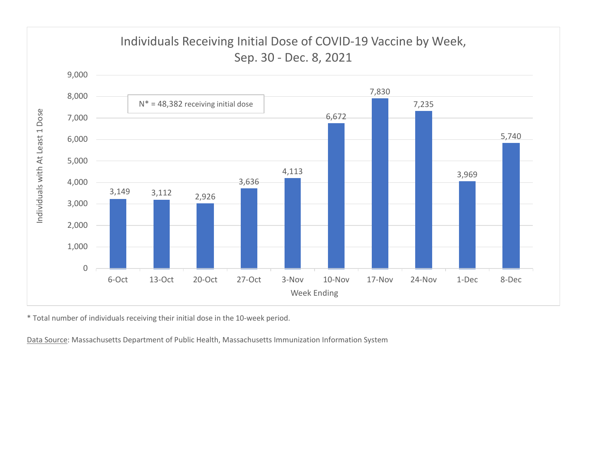

\* Total number of individuals receiving their initial dose in the 10-week period.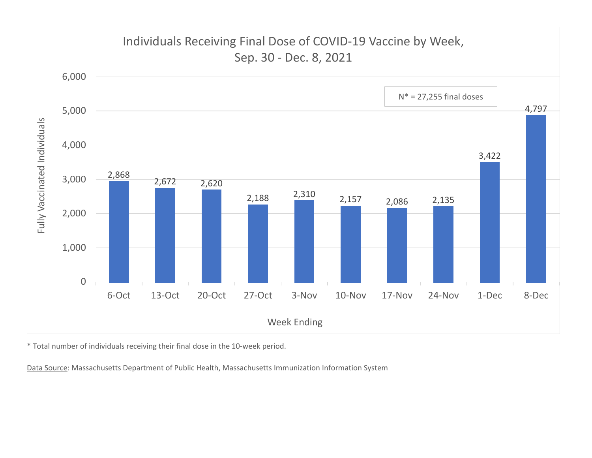

\* Total number of individuals receiving their final dose in the 10-week period.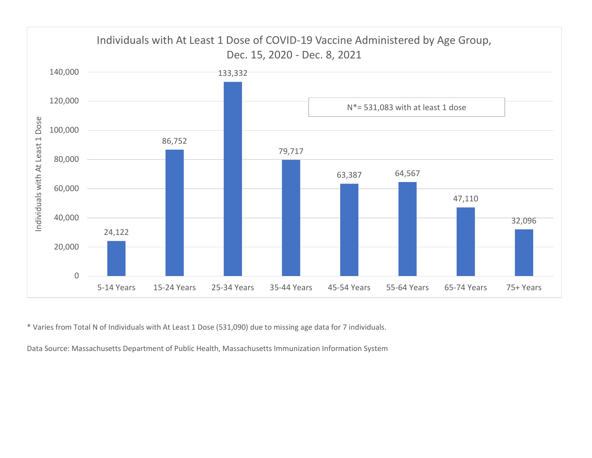

\* Varies from Total N of Individuals with At Least 1 Dose (531,090) due to missing age data for 7 individuals.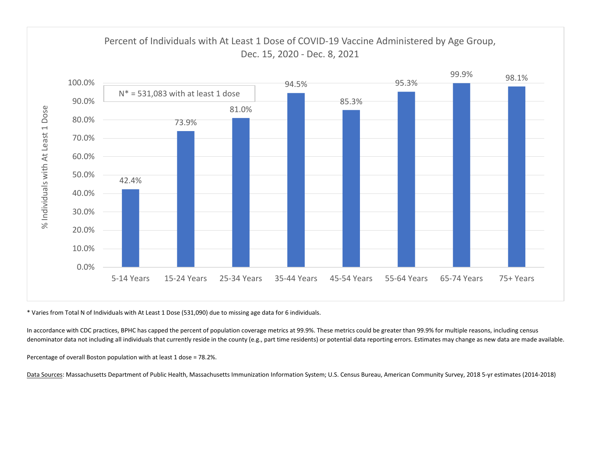

\* Varies from Total N of Individuals with At Least 1 Dose (531,090) due to missing age data for 6 individuals.

In accordance with CDC practices, BPHC has capped the percent of population coverage metrics at 99.9%. These metrics could be greater than 99.9% for multiple reasons, including census denominator data not including all individuals that currently reside in the county (e.g., part time residents) or potential data reporting errors. Estimates may change as new data are made available.

Percentage of overall Boston population with at least 1 dose = 78.2%.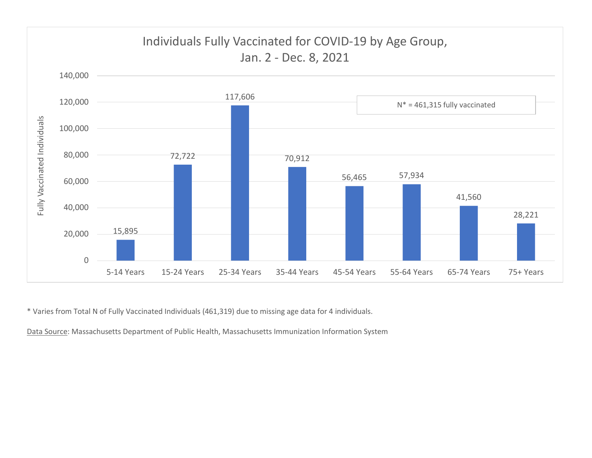

\* Varies from Total N of Fully Vaccinated Individuals (461,319) due to missing age data for 4 individuals.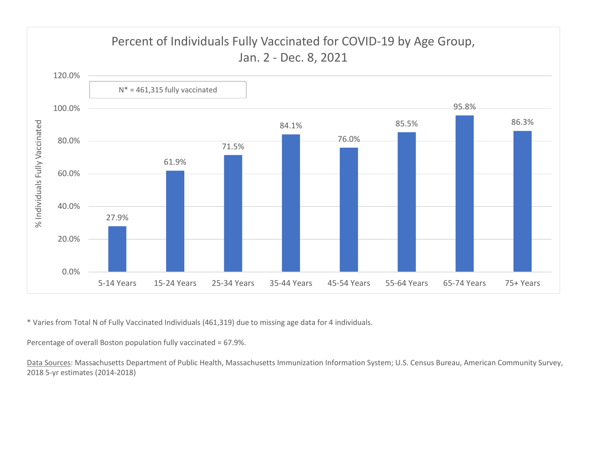

\* Varies from Total N of Fully Vaccinated Individuals (461,319) due to missing age data for 4 individuals.

Percentage of overall Boston population fully vaccinated = 67.9%.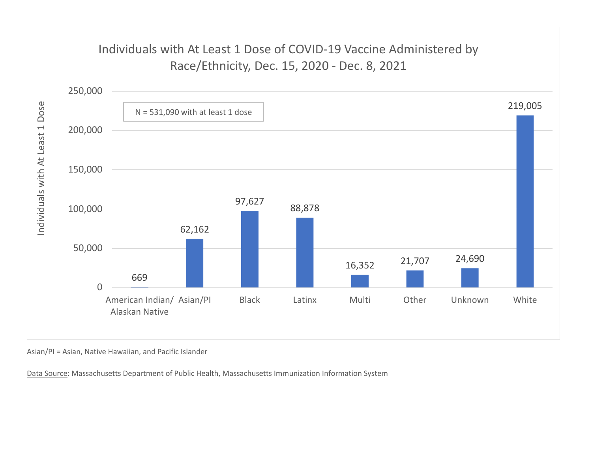## Individuals with At Least 1 Dose of COVID-19 Vaccine Administered by



Asian/PI = Asian, Native Hawaiian, and Pacific Islander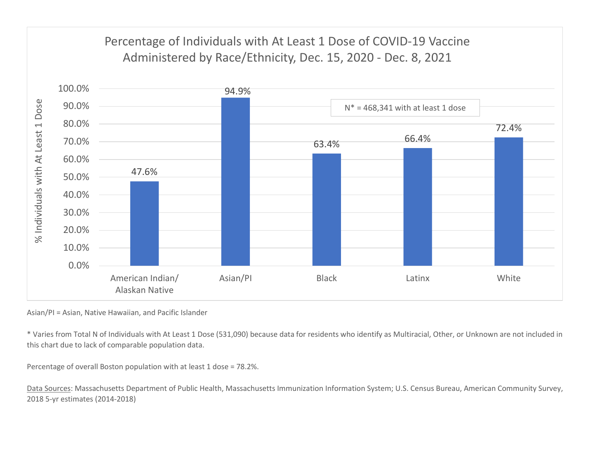

Asian/PI = Asian, Native Hawaiian, and Pacific Islander

\* Varies from Total N of Individuals with At Least 1 Dose (531,090) because data for residents who identify as Multiracial, Other, or Unknown are not included in this chart due to lack of comparable population data.

Percentage of overall Boston population with at least 1 dose = 78.2%.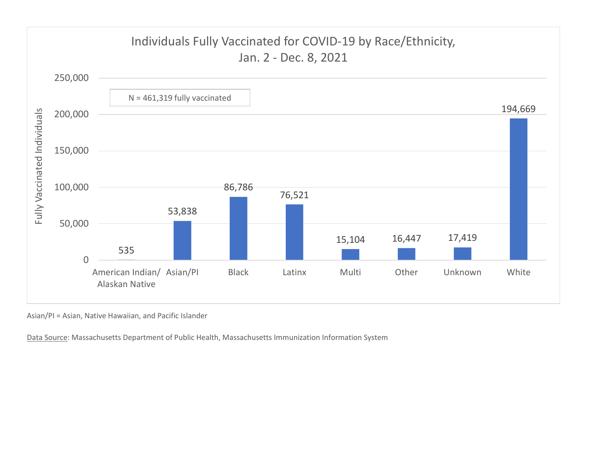

Asian/PI = Asian, Native Hawaiian, and Pacific Islander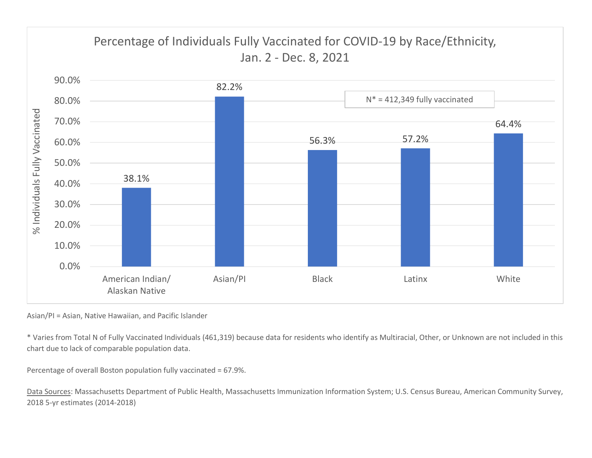

Asian/PI = Asian, Native Hawaiian, and Pacific Islander

\* Varies from Total N of Fully Vaccinated Individuals (461,319) because data for residents who identify as Multiracial, Other, or Unknown are not included in this chart due to lack of comparable population data.

Percentage of overall Boston population fully vaccinated = 67.9%.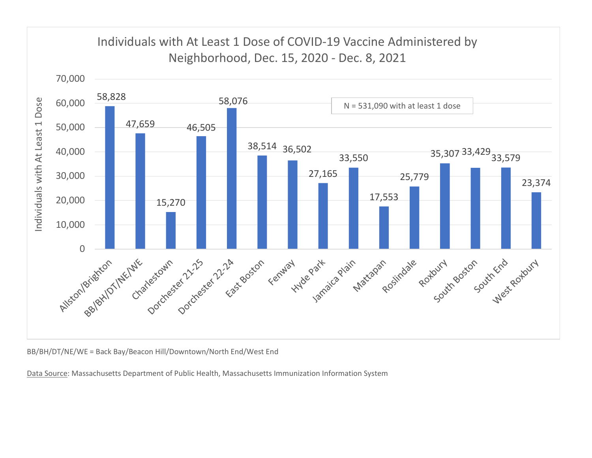

BB/BH/DT/NE/WE = Back Bay/Beacon Hill/Downtown/North End/West End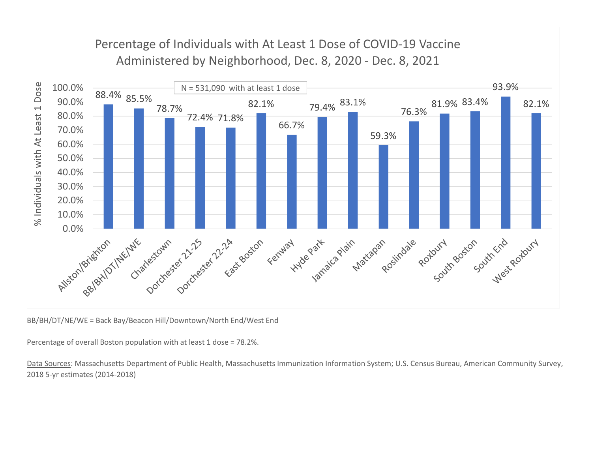

BB/BH/DT/NE/WE = Back Bay/Beacon Hill/Downtown/North End/West End

Percentage of overall Boston population with at least 1 dose = 78.2%.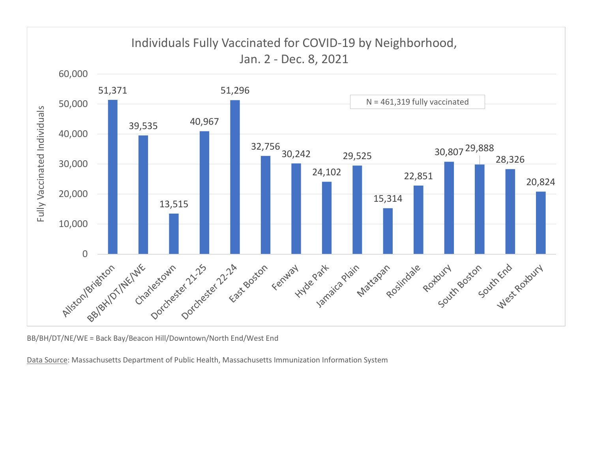

BB/BH/DT/NE/WE = Back Bay/Beacon Hill/Downtown/North End/West End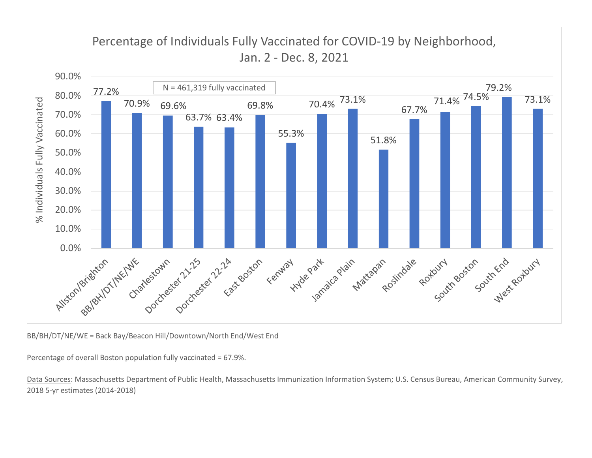

BB/BH/DT/NE/WE = Back Bay/Beacon Hill/Downtown/North End/West End

Percentage of overall Boston population fully vaccinated = 67.9%.